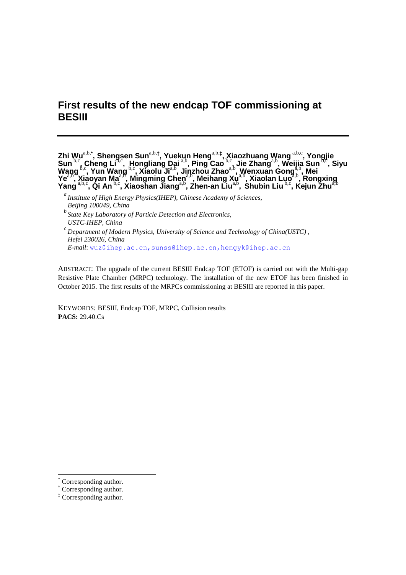# **First results of the new endcap TOF commissioning at BESIII**

**Zhi Wu**a,b,**\* , Shengsen Sun**a,b,**† , Yuekun Heng**a,b,**‡ , Xiaozhuang Wang** a,b,c **, [Yongjie](http://arxiv.org/find/physics/1/au:+Sun_Y/0/1/0/all/0/1)  [Sun](http://arxiv.org/find/physics/1/au:+Sun_Y/0/1/0/all/0/1)<sup>b,c</sup>, [Cheng Li](http://arxiv.org/find/physics/1/au:+Li_C/0/1/0/all/0/1)<sup>b,c</sup>, [Hongliang Dai](http://arxiv.org/find/physics/1/au:+Dai_H/0/1/0/all/0/1)<sup> a,b</sup>, [Ping Cao](http://arxiv.org/find/physics/1/au:+Cao_P/0/1/0/all/0/1)<sup>b,c</sup>, [Jie Zhang](http://arxiv.org/find/physics/1/au:+Zhang_J/0/1/0/all/0/1)<sup>a,b</sup>, [Weijia Sun](http://arxiv.org/find/physics/1/au:+Sun_W/0/1/0/all/0/1)<sup>b,c</sup> , [Siyu](http://arxiv.org/find/physics/1/au:+Wang_S/0/1/0/all/0/1)  [Wang](http://arxiv.org/find/physics/1/au:+Wang_S/0/1/0/all/0/1)** <sup>b,c</sup>, Yun Wang <sup>b,c</sup>, [Xiaolu Ji](http://arxiv.org/find/physics/1/au:+Ji_X/0/1/0/all/0/1)<sup>a,b</sup>, [Jinzhou Zhao](http://arxiv.org/find/physics/1/au:+Zhao_J/0/1/0/all/0/1)<sup>a,b</sup>, [Wenxuan Gong](http://arxiv.org/find/physics/1/au:+Gong_W/0/1/0/all/0/1)<sup>a,b</sup>, Mei **[Ye](http://arxiv.org/find/physics/1/au:+Ye_M/0/1/0/all/0/1)<sup>a,b</sup>, [Xiaoyan Ma](http://arxiv.org/find/physics/1/au:+Ma_X/0/1/0/all/0/1)<sup>a,b</sup>, [Mingming Chen](http://arxiv.org/find/physics/1/au:+Chen_M/0/1/0/all/0/1)<sup>a,b</sup>, [Meihang Xu](http://arxiv.org/find/physics/1/au:+Xu_M/0/1/0/all/0/1)<sup>a,b</sup>, [Xiaolan Luo](http://arxiv.org/find/physics/1/au:+Luo_X/0/1/0/all/0/1)<sup>a,b</sup>, Rongxing [Yang](http://arxiv.org/find/physics/1/au:+Yang_R/0/1/0/all/0/1)**<sup>a,b,c</sup>, Qi An<sup>b,c</sup>, [Xiaoshan Jiang](http://arxiv.org/find/physics/1/au:+Jiang_X/0/1/0/all/0/1)<sup>a,b</sup>, [Zhen-an Liu](http://arxiv.org/find/physics/1/au:+Liu_Z/0/1/0/all/0/1)<sup>a,b</sup>, Shubin Liu<sup>b,c</sup>, [Kejun Zhu](http://arxiv.org/find/physics/1/au:+Zhu_K/0/1/0/all/0/1)<sup>a,b</sup>

*b State Key Laboratory of Particle Detection and Electronics, USTC-IHEP, China c Department of Modern Physics, University of Science and Technology of China(USTC) ,* 

*Hefei 230026, China E-mail*: [wuz@ihep.ac.cn,](mailto:wuz@ihep.ac.cn)sunss@ihep.ac.cn,hengyk@ihep.ac.cn

ABSTRACT: The upgrade of the current BESIII Endcap TOF (ETOF) is carried out with the Multi-gap Resistive Plate Chamber (MRPC) technology. The installation of the new ETOF has been finished in October 2015. The first results of the MRPCs commissioning at BESIII are reported in this paper.

KEYWORDS: BESIII, Endcap TOF, MRPC, Collision results **PACS:** 29.40.Cs

1

*a Institute of High Energy Physics(IHEP), Chinese Academy of Sciences, Beijing 100049, China*

Corresponding author.

<sup>†</sup> Corresponding author.

<sup>‡</sup> Corresponding author.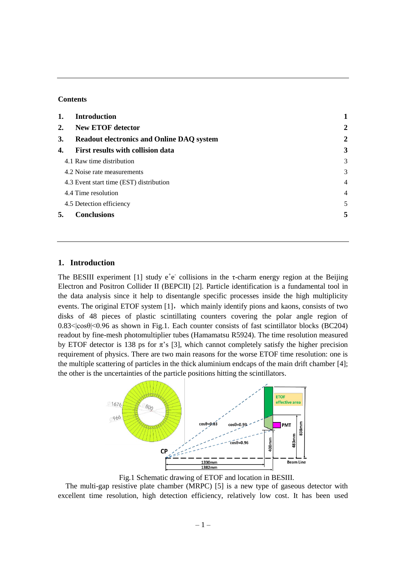## **Contents**

| 1.        | <b>Introduction</b>                              |                |
|-----------|--------------------------------------------------|----------------|
| 2.        | <b>New ETOF detector</b>                         | $\overline{2}$ |
| <b>3.</b> | <b>Readout electronics and Online DAQ system</b> | $\overline{2}$ |
| 4.        | First results with collision data                | 3              |
|           | 4.1 Raw time distribution                        | 3              |
|           | 4.2 Noise rate measurements                      | 3              |
|           | 4.3 Event start time (EST) distribution          | $\overline{4}$ |
|           | 4.4 Time resolution                              | $\overline{4}$ |
|           | 4.5 Detection efficiency                         | 5              |
| 5.        | <b>Conclusions</b>                               | 5              |

# **1. Introduction**

The BESIII experiment [1] study  $e^+e^-$  collisions in the  $\tau$ -charm energy region at the Beijing Electron and Positron Collider II (BEPCII) [2]. Particle identification is a fundamental tool in the data analysis since it help to disentangle specific processes inside the high multiplicity events. The original ETOF system [1], which mainly identify pions and kaons, consists of two disks of 48 pieces of plastic scintillating counters covering the polar angle region of  $0.83 \le \cos\theta \le 0.96$  as shown in Fig.1. Each counter consists of fast scintillator blocks (BC204) readout by fine-mesh photomultiplier tubes (Hamamatsu R5924). The time resolution measured by ETOF detector is 138 ps for  $\pi$ 's [3], which cannot completely satisfy the higher precision requirement of physics. There are two main reasons for the worse ETOF time resolution: one is the multiple scattering of particles in the thick aluminium endcaps of the main drift chamber [4]; the other is the uncertainties of the particle positions hitting the scintillators.



Fig.1 Schematic drawing of ETOF and location in BESIII.

The multi-gap resistive plate chamber (MRPC) [5] is a new type of gaseous detector with excellent time resolution, high detection efficiency, relatively low cost. It has been used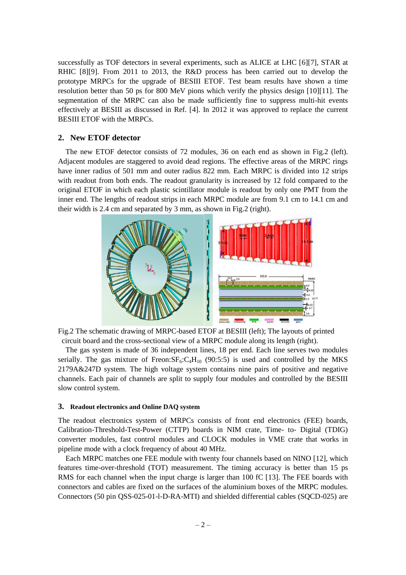successfully as TOF detectors in several experiments, such as ALICE at LHC [6][7], STAR at RHIC [8][9]. From 2011 to 2013, the R&D process has been carried out to develop the prototype MRPCs for the upgrade of BESIII ETOF. Test beam results have shown a time resolution better than 50 ps for 800 MeV pions which verify the physics design [10][11]. The segmentation of the MRPC can also be made sufficiently fine to suppress multi-hit events effectively at BESIII as discussed in Ref. [4]. In 2012 it was approved to replace the current BESIII ETOF with the MRPCs.

# **2. New ETOF detector**

The new ETOF detector consists of 72 modules, 36 on each end as shown in Fig.2 (left). Adjacent modules are staggered to avoid dead regions. The effective areas of the MRPC rings have inner radius of 501 mm and outer radius 822 mm. Each MRPC is divided into 12 strips with readout from both ends. The readout granularity is increased by 12 fold compared to the original ETOF in which each plastic scintillator module is readout by only one PMT from the inner end. The lengths of readout strips in each MRPC module are from 9.1 cm to 14.1 cm and their width is 2.4 cm and separated by 3 mm, as shown in Fig.2 (right).



Fig.2 The schematic drawing of MRPC-based ETOF at BESIII (left); The layouts of printed circuit board and the cross-sectional view of a MRPC module along its length (right).

The gas system is made of 36 independent lines, 18 per end. Each line serves two modules serially. The gas mixture of Freon: $SF_6: C_4H_{10}$  (90:5:5) is used and controlled by the MKS 2179A&247D system. The high voltage system contains nine pairs of positive and negative channels. Each pair of channels are split to supply four modules and controlled by the BESIII slow control system.

## **3. Readout electronics and Online DAQ system**

The readout electronics system of MRPCs consists of front end electronics (FEE) boards, Calibration-Threshold-Test-Power (CTTP) boards in NIM crate, Time- to- Digital (TDIG) converter modules, fast control modules and CLOCK modules in VME crate that works in pipeline mode with a clock frequency of about 40 MHz.

Each MRPC matches one FEE module with twenty four channels based on NINO [12], which features time-over-threshold (TOT) measurement. The timing accuracy is better than 15 ps RMS for each channel when the input charge is larger than 100 fC [13]. The FEE boards with connectors and cables are fixed on the surfaces of the aluminium boxes of the MRPC modules. Connectors (50 pin QSS-025-01-l-D-RA-MTI) and shielded differential cables (SQCD-025) are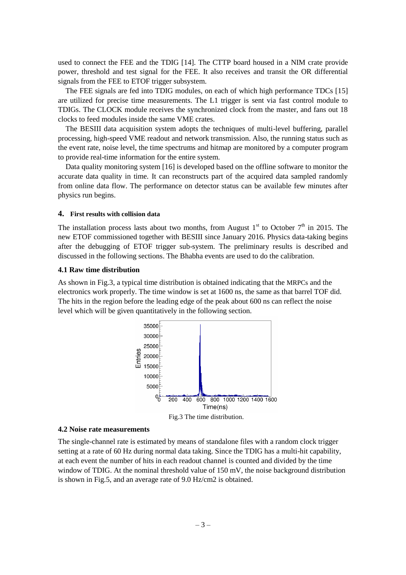used to connect the FEE and the TDIG [14]. The CTTP board housed in a NIM crate provide power, threshold and test signal for the FEE. It also receives and transit the OR differential signals from the FEE to ETOF trigger subsystem.

The FEE signals are fed into TDIG modules, on each of which high performance TDCs [15] are utilized for precise time measurements. The L1 trigger is sent via fast control module to TDIGs. The CLOCK module receives the synchronized clock from the master, and fans out 18 clocks to feed modules inside the same VME crates.

The BESIII data acquisition system adopts the techniques of multi-level buffering, parallel processing, high-speed VME readout and network transmission. Also, the running status such as the event rate, noise level, the time spectrums and hitmap are monitored by a computer program to provide real-time information for the entire system.

Data quality monitoring system [16] is developed based on the offline software to monitor the accurate data quality in time. It can reconstructs part of the acquired data sampled randomly from online data flow. The performance on detector status can be available few minutes after physics run begins.

## **4. First results with collision data**

The installation process lasts about two months, from August  $1<sup>st</sup>$  to October  $7<sup>th</sup>$  in 2015. The new ETOF commissioned together with BESIII since January 2016. Physics data-taking begins after the debugging of ETOF trigger sub-system. The preliminary results is described and discussed in the following sections. The Bhabha events are used to do the calibration.

#### **4.1 Raw time distribution**

As shown in Fig.3, a typical time distribution is obtained indicating that the MRPCs and the electronics work properly. The time window is set at 1600 ns, the same as that barrel TOF did. The hits in the region before the leading edge of the peak about 600 ns can reflect the noise level which will be given quantitatively in the following section.



#### **4.2 Noise rate measurements**

The single-channel rate is estimated by means of standalone files with a random clock trigger setting at a rate of 60 Hz during normal data taking. Since the TDIG has a multi-hit capability, at each event the number of hits in each readout channel is counted and divided by the time window of TDIG. At the nominal threshold value of 150 mV, the noise background distribution is shown in Fig.5, and an average rate of 9.0 Hz/cm2 is obtained.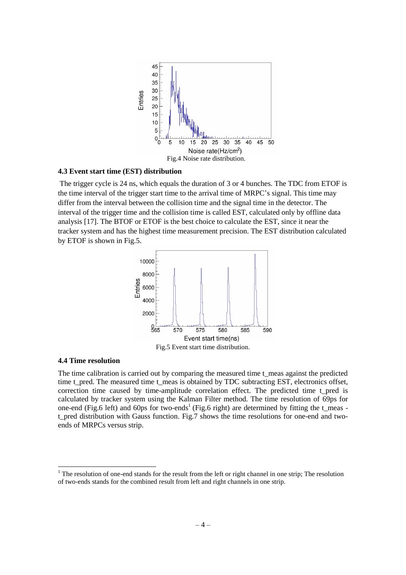

## **4.3 Event start time (EST) distribution**

The trigger cycle is 24 ns, which equals the duration of 3 or 4 bunches. The TDC from ETOF is the time interval of the trigger start time to the arrival time of MRPC's signal. This time may differ from the interval between the collision time and the signal time in the detector. The interval of the trigger time and the collision time is called EST, calculated only by offline data analysis [17]. The BTOF or ETOF is the best choice to calculate the EST, since it near the tracker system and has the highest time measurement precision. The EST distribution calculated by ETOF is shown in Fig.5.



## **4.4 Time resolution**

1

The time calibration is carried out by comparing the measured time t\_meas against the predicted time t\_pred. The measured time t\_meas is obtained by TDC subtracting EST, electronics offset, correction time caused by time-amplitude correlation effect. The predicted time t\_pred is calculated by tracker system using the Kalman Filter method. The time resolution of 69ps for one-end (Fig.6 left) and 60ps for two-ends<sup>1</sup> (Fig.6 right) are determined by fitting the  $t$ <sub>meas</sub> t\_pred distribution with Gauss function. Fig.7 shows the time resolutions for one-end and twoends of MRPCs versus strip.

 $1$ <sup>1</sup> The resolution of one-end stands for the result from the left or right channel in one strip; The resolution of two-ends stands for the combined result from left and right channels in one strip.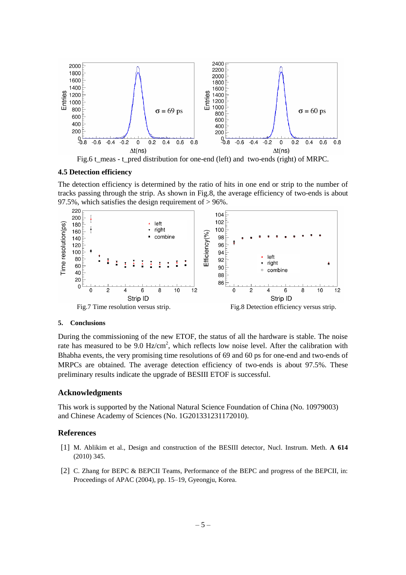

Fig.6 t\_meas - t\_pred distribution for one-end (left) and two-ends (right) of MRPC.

## **4.5 Detection efficiency**

The detection efficiency is determined by the ratio of hits in one end or strip to the number of tracks passing through the strip. As shown in Fig.8, the average efficiency of two-ends is about 97.5%, which satisfies the design requirement of > 96%.



#### **5. Conclusions**

During the commissioning of the new ETOF, the status of all the hardware is stable. The noise rate has measured to be 9.0  $Hz/cm<sup>2</sup>$ , which reflects low noise level. After the calibration with Bhabha events, the very promising time resolutions of 69 and 60 ps for one-end and two-ends of MRPCs are obtained. The average detection efficiency of two-ends is about 97.5%. These preliminary results indicate the upgrade of BESIII ETOF is successful.

# **Acknowledgments**

This work is supported by the National Natural Science Foundation of China (No. 10979003) and Chinese Academy of Sciences (No. 1G201331231172010).

## **References**

- [1] M. Ablikim et al., Design and construction of the BESIII detector, Nucl. Instrum. Meth. **A 614** (2010) 345.
- [2] C. Zhang for BEPC & BEPCII Teams, Performance of the BEPC and progress of the BEPCII, in: Proceedings of APAC (2004), pp. 15–19, Gyeongju, Korea.